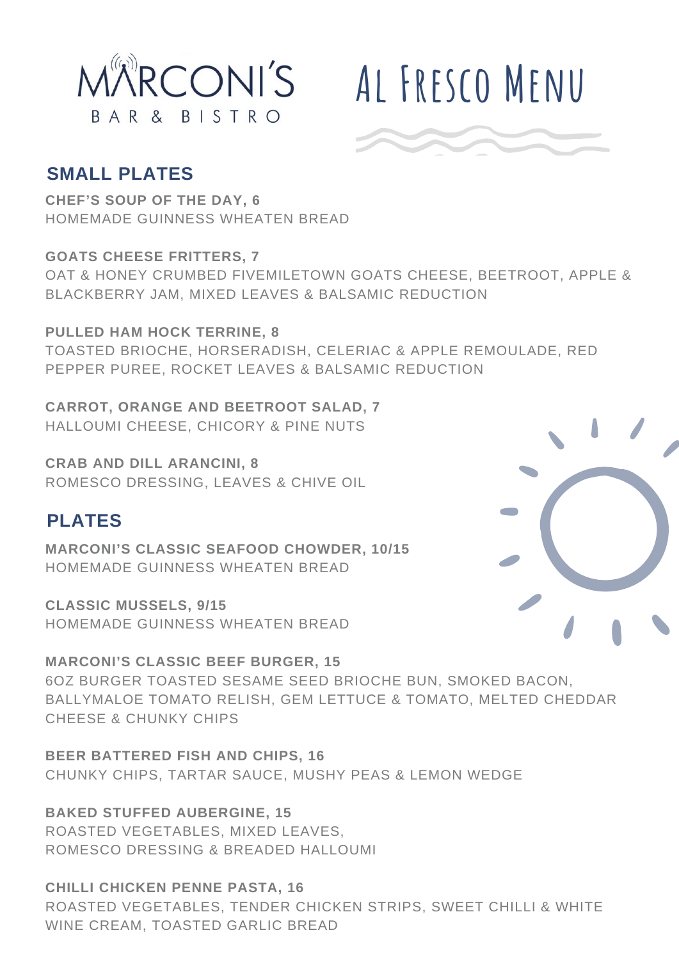

# **Al Fresco Menu**

## **SMALL PLATES**

**CHEF'S SOUP OF THE DAY, 6** HOMEMADE GUINNESS WHEATEN BREAD

**GOATS CHEESE FRITTERS, 7** OAT & HONEY CRUMBED FIVEMILETOWN GOATS CHEESE, BEETROOT, APPLE & BLACKBERRY JAM, MIXED LEAVES & BALSAMIC REDUCTION

**PULLED HAM HOCK TERRINE, 8** TOASTED BRIOCHE, HORSERADISH, CELERIAC & APPLE REMOULADE, RED PEPPER PUREE, ROCKET LEAVES & BALSAMIC REDUCTION

**CARROT, ORANGE AND BEETROOT SALAD, 7** HALLOUMI CHEESE, CHICORY & PINE NUTS

**CRAB AND DILL ARANCINI, 8** ROMESCO DRESSING, LEAVES & CHIVE OIL

## **PLATES**

**MARCONI'S CLASSIC SEAFOOD CHOWDER, 10/15** HOMEMADE GUINNESS WHEATEN BREAD

**CLASSIC MUSSELS, 9/15** HOMEMADE GUINNESS WHEATEN BREAD

**MARCONI'S CLASSIC BEEF BURGER, 15** 6OZ BURGER TOASTED SESAME SEED BRIOCHE BUN, SMOKED BACON, BALLYMALOE TOMATO RELISH, GEM LETTUCE & TOMATO, MELTED CHEDDAR CHEESE & CHUNKY CHIPS

**BEER BATTERED FISH AND CHIPS, 16** CHUNKY CHIPS, TARTAR SAUCE, MUSHY PEAS & LEMON WEDGE

**BAKED STUFFED AUBERGINE, 15** ROASTED VEGETABLES, MIXED LEAVES, ROMESCO DRESSING & BREADED HALLOUMI

**CHILLI CHICKEN PENNE PASTA, 16** ROASTED VEGETABLES, TENDER CHICKEN STRIPS, SWEET CHILLI & WHITE WINE CREAM, TOASTED GARLIC BREAD